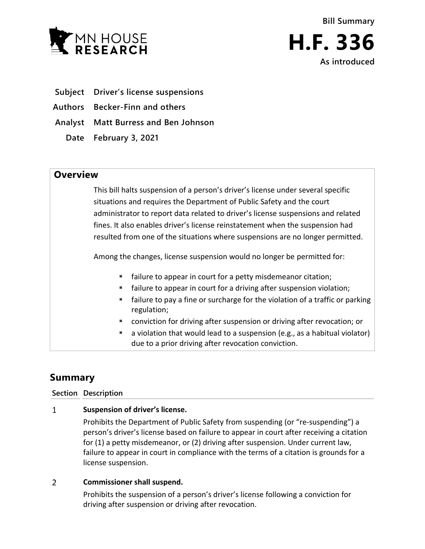

- **Subject Driver's license suspensions**
- **Authors Becker-Finn and others**
- **Analyst Matt Burress and Ben Johnson**
	- **Date February 3, 2021**

## **Overview**

This bill halts suspension of a person's driver's license under several specific situations and requires the Department of Public Safety and the court administrator to report data related to driver's license suspensions and related fines. It also enables driver's license reinstatement when the suspension had resulted from one of the situations where suspensions are no longer permitted.

Among the changes, license suspension would no longer be permitted for:

- **failure to appear in court for a petty misdemeanor citation;**
- failure to appear in court for a driving after suspension violation;
- failure to pay a fine or surcharge for the violation of a traffic or parking regulation;
- conviction for driving after suspension or driving after revocation; or
- $\blacksquare$  a violation that would lead to a suspension (e.g., as a habitual violator) due to a prior driving after revocation conviction.

# **Summary**

### **Section Description**

#### $\mathbf{1}$ **Suspension of driver's license.**

Prohibits the Department of Public Safety from suspending (or "re-suspending") a person's driver's license based on failure to appear in court after receiving a citation for (1) a petty misdemeanor, or (2) driving after suspension. Under current law, failure to appear in court in compliance with the terms of a citation is grounds for a license suspension.

#### $\overline{2}$ **Commissioner shall suspend.**

Prohibits the suspension of a person's driver's license following a conviction for driving after suspension or driving after revocation.